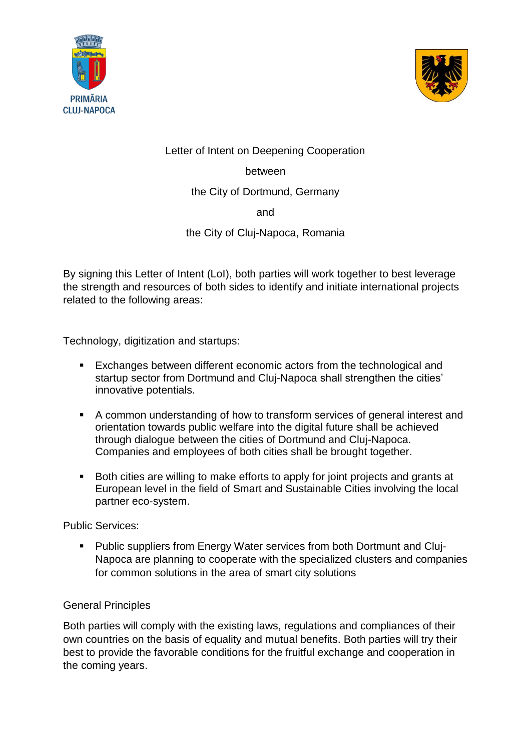



Letter of Intent on Deepening Cooperation

between

the City of Dortmund, Germany

and

the City of Cluj-Napoca, Romania

By signing this Letter of Intent (LoI), both parties will work together to best leverage the strength and resources of both sides to identify and initiate international projects related to the following areas:

Technology, digitization and startups:

- Exchanges between different economic actors from the technological and startup sector from Dortmund and Cluj-Napoca shall strengthen the cities' innovative potentials.
- A common understanding of how to transform services of general interest and orientation towards public welfare into the digital future shall be achieved through dialogue between the cities of Dortmund and Cluj-Napoca. Companies and employees of both cities shall be brought together.
- Both cities are willing to make efforts to apply for joint projects and grants at European level in the field of Smart and Sustainable Cities involving the local partner eco-system.

Public Services:

 Public suppliers from Energy Water services from both Dortmunt and Cluj-Napoca are planning to cooperate with the specialized clusters and companies for common solutions in the area of smart city solutions

## General Principles

Both parties will comply with the existing laws, regulations and compliances of their own countries on the basis of equality and mutual benefits. Both parties will try their best to provide the favorable conditions for the fruitful exchange and cooperation in the coming years.